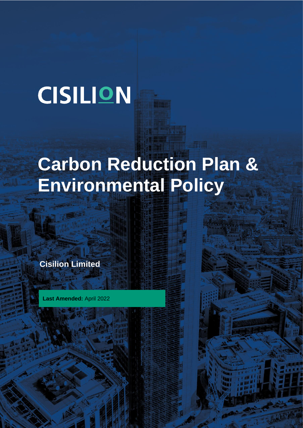# **CISILION**

## **Carbon Reduction Plan & Environmental Policy**

**Cisilion Limited**

**Last Amended:** April 2022

LAST UPDATED: APRIL 2022

**HR6.06 CARBON REDUCTION REDUCTION PLAN & ENVIRONMENTAL POLICY PLAN & ENVIRONMENTAL POLICY PLAN & ENVIRONMENTAL POLICY PLAN & ENVIRONMENTAL POLICY PLAN & ENVIRONMENTAL POLICY PLAN & ENVIRONMENTAL POLICY PLAN & ENVIRONMEN**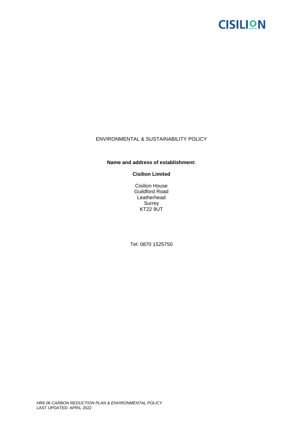### **CISILION**

#### ENVIRONMENTAL & SUSTAINABILITY POLICY

#### **Name and address of establishment:**

**Cisilion Limited**

Cisilion House Guildford Road Leatherhead Surrey **KT22 9UT** 

Tel: 0870 1525750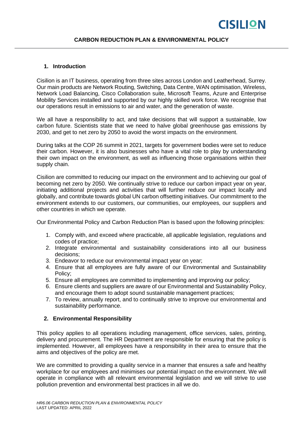#### **1. Introduction**

Cisilion is an IT business, operating from three sites across London and Leatherhead, Surrey. Our main products are Network Routing, Switching, Data Centre, WAN optimisation, Wireless, Network Load Balancing, Cisco Collaboration suite, Microsoft Teams, Azure and Enterprise Mobility Services installed and supported by our highly skilled work force. We recognise that our operations result in emissions to air and water, and the generation of waste.

We all have a responsibility to act, and take decisions that will support a sustainable, low carbon future. Scientists state that we need to halve global greenhouse gas emissions by 2030, and get to net zero by 2050 to avoid the worst impacts on the environment.

During talks at the COP 26 summit in 2021, targets for government bodies were set to reduce their carbon. However, it is also businesses who have a vital role to play by understanding their own impact on the environment, as well as influencing those organisations within their supply chain.

Cisilion are committed to reducing our impact on the environment and to achieving our goal of becoming net zero by 2050. We continually strive to reduce our carbon impact year on year, initiating additional projects and activities that will further reduce our impact locally and globally, and contribute towards global UN carbon offsetting initiatives. Our commitment to the environment extends to our customers, our communities, our employees, our suppliers and other countries in which we operate.

Our Environmental Policy and Carbon Reduction Plan is based upon the following principles:

- 1. Comply with, and exceed where practicable, all applicable legislation, regulations and codes of practice;
- 2. Integrate environmental and sustainability considerations into all our business decisions;
- 3. Endeavor to reduce our environmental impact year on year;
- 4. Ensure that all employees are fully aware of our Environmental and Sustainability Policy;
- 5. Ensure all employees are committed to implementing and improving our policy;
- 6. Ensure clients and suppliers are aware of our Environmental and Sustainability Policy, and encourage them to adopt sound sustainable management practices;
- 7. To review, annually report, and to continually strive to improve our environmental and sustainability performance.

#### **2. Environmental Responsibility**

This policy applies to all operations including management, office services, sales, printing, delivery and procurement. The HR Department are responsible for ensuring that the policy is implemented. However, all employees have a responsibility in their area to ensure that the aims and objectives of the policy are met.

We are committed to providing a quality service in a manner that ensures a safe and healthy workplace for our employees and minimises our potential impact on the environment. We will operate in compliance with all relevant environmental legislation and we will strive to use pollution prevention and environmental best practices in all we do.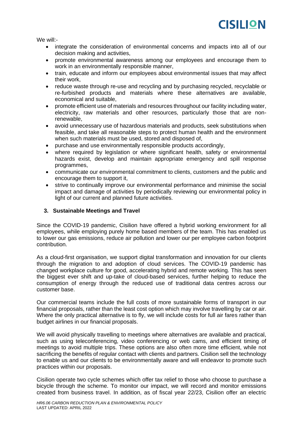

We will:-

- integrate the consideration of environmental concerns and impacts into all of our decision making and activities,
- promote environmental awareness among our employees and encourage them to work in an environmentally responsible manner,
- train, educate and inform our employees about environmental issues that may affect their work,
- reduce waste through re-use and recycling and by purchasing recycled, recyclable or re-furbished products and materials where these alternatives are available, economical and suitable,
- promote efficient use of materials and resources throughout our facility including water, electricity, raw materials and other resources, particularly those that are nonrenewable,
- avoid unnecessary use of hazardous materials and products, seek substitutions when feasible, and take all reasonable steps to protect human health and the environment when such materials must be used, stored and disposed of,
- purchase and use environmentally responsible products accordingly,
- where required by legislation or where significant health, safety or environmental hazards exist, develop and maintain appropriate emergency and spill response programmes,
- communicate our environmental commitment to clients, customers and the public and encourage them to support it,
- strive to continually improve our environmental performance and minimise the social impact and damage of activities by periodically reviewing our environmental policy in light of our current and planned future activities.

#### **3. Sustainable Meetings and Travel**

Since the COVID-19 pandemic, Cisilion have offered a hybrid working environment for all employees, while employing purely home based members of the team. This has enabled us to lower our gas emissions, reduce air pollution and lower our per employee carbon footprint contribution.

As a cloud-first organisation, we support digital transformation and innovation for our clients through the migration to and adoption of cloud services. The COVID-19 pandemic has changed workplace culture for good, accelerating hybrid and remote working. This has seen the biggest ever shift and up-take of cloud-based services, further helping to reduce the consumption of energy through the reduced use of traditional data centres across our customer base.

Our commercial teams include the full costs of more sustainable forms of transport in our financial proposals, rather than the least cost option which may involve travelling by car or air. Where the only practical alternative is to fly, we will include costs for full air fares rather than budget airlines in our financial proposals.

We will avoid physically travelling to meetings where alternatives are available and practical, such as using teleconferencing, video conferencing or web cams, and efficient timing of meetings to avoid multiple trips. These options are also often more time efficient, while not sacrificing the benefits of regular contact with clients and partners. Cisilion sell the technology to enable us and our clients to be environmentally aware and will endeavor to promote such practices within our proposals.

Cisilion operate two cycle schemes which offer tax relief to those who choose to purchase a bicycle through the scheme. To monitor our impact, we will record and monitor emissions created from business travel. In addition, as of fiscal year 22/23, Cisilion offer an electric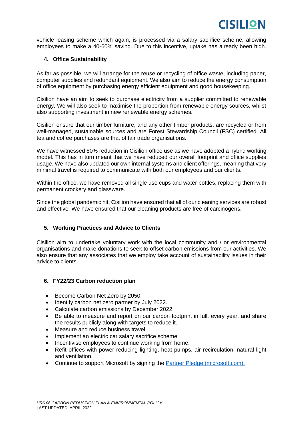vehicle leasing scheme which again, is processed via a salary sacrifice scheme, allowing employees to make a 40-60% saving. Due to this incentive, uptake has already been high.

#### **4. Office Sustainability**

As far as possible, we will arrange for the reuse or recycling of office waste, including paper, computer supplies and redundant equipment. We also aim to reduce the energy consumption of office equipment by purchasing energy efficient equipment and good housekeeping.

Cisilion have an aim to seek to purchase electricity from a supplier committed to renewable energy. We will also seek to maximise the proportion from renewable energy sources, whilst also supporting investment in new renewable energy schemes.

Cisilion ensure that our timber furniture, and any other timber products, are recycled or from well-managed, sustainable sources and are Forest Stewardship Council (FSC) certified. All tea and coffee purchases are that of fair trade organisations.

We have witnessed 80% reduction in Cisilion office use as we have adopted a hybrid working model. This has in turn meant that we have reduced our overall footprint and office supplies usage. We have also updated our own internal systems and client offerings, meaning that very minimal travel is required to communicate with both our employees and our clients.

Within the office, we have removed all single use cups and water bottles, replacing them with permanent crockery and glassware.

Since the global pandemic hit, Cisilion have ensured that all of our cleaning services are robust and effective. We have ensured that our cleaning products are free of carcinogens.

#### **5. Working Practices and Advice to Clients**

Cisilion aim to undertake voluntary work with the local community and / or environmental organisations and make donations to seek to offset carbon emissions from our activities. We also ensure that any associates that we employ take account of sustainability issues in their advice to clients.

#### **6. FY22/23 Carbon reduction plan**

- Become Carbon Net Zero by 2050.
- Identify carbon net zero partner by July 2022.
- Calculate carbon emissions by December 2022.
- Be able to measure and report on our carbon footprint in full, every year, and share the results publicly along with targets to reduce it.
- Measure and reduce business travel.
- Implement an electric car salary sacrifice scheme.
- Incentivise employees to continue working from home.
- Refit offices with power reducing lighting, heat pumps, air recirculation, natural light and ventilation.
- Continue to support Microsoft by signing the **Partner Pledge (microsoft.com).**